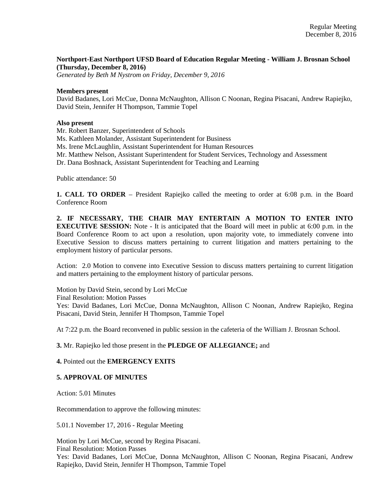# **Northport-East Northport UFSD Board of Education Regular Meeting - William J. Brosnan School (Thursday, December 8, 2016)**

*Generated by Beth M Nystrom on Friday, December 9, 2016*

### **Members present**

David Badanes, Lori McCue, Donna McNaughton, Allison C Noonan, Regina Pisacani, Andrew Rapiejko, David Stein, Jennifer H Thompson, Tammie Topel

### **Also present**

Mr. Robert Banzer, Superintendent of Schools

Ms. Kathleen Molander, Assistant Superintendent for Business

Ms. Irene McLaughlin, Assistant Superintendent for Human Resources

Mr. Matthew Nelson, Assistant Superintendent for Student Services, Technology and Assessment

Dr. Dana Boshnack, Assistant Superintendent for Teaching and Learning

Public attendance: 50

**1. CALL TO ORDER** – President Rapiejko called the meeting to order at 6:08 p.m. in the Board Conference Room

**2. IF NECESSARY, THE CHAIR MAY ENTERTAIN A MOTION TO ENTER INTO EXECUTIVE SESSION:** Note - It is anticipated that the Board will meet in public at 6:00 p.m. in the Board Conference Room to act upon a resolution, upon majority vote, to immediately convene into Executive Session to discuss matters pertaining to current litigation and matters pertaining to the employment history of particular persons.

Action: 2.0 Motion to convene into Executive Session to discuss matters pertaining to current litigation and matters pertaining to the employment history of particular persons.

Motion by David Stein, second by Lori McCue Final Resolution: Motion Passes Yes: David Badanes, Lori McCue, Donna McNaughton, Allison C Noonan, Andrew Rapiejko, Regina Pisacani, David Stein, Jennifer H Thompson, Tammie Topel

At 7:22 p.m. the Board reconvened in public session in the cafeteria of the William J. Brosnan School.

**3.** Mr. Rapiejko led those present in the **PLEDGE OF ALLEGIANCE;** and

## **4.** Pointed out the **EMERGENCY EXITS**

## **5. APPROVAL OF MINUTES**

Action: 5.01 Minutes

Recommendation to approve the following minutes:

5.01.1 November 17, 2016 - Regular Meeting

Motion by Lori McCue, second by Regina Pisacani. Final Resolution: Motion Passes Yes: David Badanes, Lori McCue, Donna McNaughton, Allison C Noonan, Regina Pisacani, Andrew Rapiejko, David Stein, Jennifer H Thompson, Tammie Topel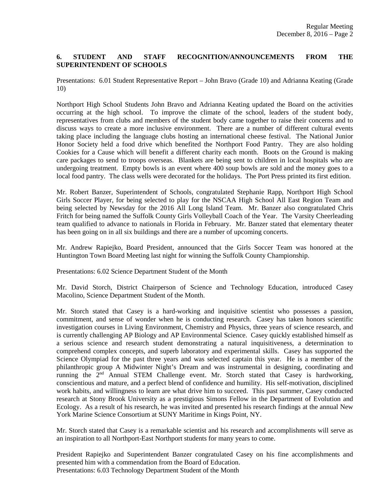# **6. STUDENT AND STAFF RECOGNITION/ANNOUNCEMENTS FROM THE SUPERINTENDENT OF SCHOOLS**

Presentations: 6.01 Student Representative Report – John Bravo (Grade 10) and Adrianna Keating (Grade 10)

Northport High School Students John Bravo and Adrianna Keating updated the Board on the activities occurring at the high school. To improve the climate of the school, leaders of the student body, representatives from clubs and members of the student body came together to raise their concerns and to discuss ways to create a more inclusive environment. There are a number of different cultural events taking place including the language clubs hosting an international cheese festival. The National Junior Honor Society held a food drive which benefited the Northport Food Pantry. They are also holding Cookies for a Cause which will benefit a different charity each month. Boots on the Ground is making care packages to send to troops overseas. Blankets are being sent to children in local hospitals who are undergoing treatment. Empty bowls is an event where 400 soup bowls are sold and the money goes to a local food pantry. The class wells were decorated for the holidays. The Port Press printed its first edition.

Mr. Robert Banzer, Superintendent of Schools, congratulated Stephanie Rapp, Northport High School Girls Soccer Player, for being selected to play for the NSCAA High School All East Region Team and being selected by Newsday for the 2016 All Long Island Team. Mr. Banzer also congratulated Chris Fritch for being named the Suffolk County Girls Volleyball Coach of the Year. The Varsity Cheerleading team qualified to advance to nationals in Florida in February. Mr. Banzer stated that elementary theater has been going on in all six buildings and there are a number of upcoming concerts.

Mr. Andrew Rapiejko, Board President, announced that the Girls Soccer Team was honored at the Huntington Town Board Meeting last night for winning the Suffolk County Championship.

Presentations: 6.02 Science Department Student of the Month

Mr. David Storch, District Chairperson of Science and Technology Education, introduced Casey Macolino, Science Department Student of the Month.

Mr. Storch stated that Casey is a hard-working and inquisitive scientist who possesses a passion, commitment, and sense of wonder when he is conducting research. Casey has taken honors scientific investigation courses in Living Environment, Chemistry and Physics, three years of science research, and is currently challenging AP Biology and AP Environmental Science. Casey quickly established himself as a serious science and research student demonstrating a natural inquisitiveness, a determination to comprehend complex concepts, and superb laboratory and experimental skills. Casey has supported the Science Olympiad for the past three years and was selected captain this year. He is a member of the philanthropic group A Midwinter Night's Dream and was instrumental in designing, coordinating and running the  $2<sup>nd</sup>$  Annual STEM Challenge event. Mr. Storch stated that Casey is hardworking, conscientious and mature, and a perfect blend of confidence and humility. His self-motivation, disciplined work habits, and willingness to learn are what drive him to succeed. This past summer, Casey conducted research at Stony Brook University as a prestigious Simons Fellow in the Department of Evolution and Ecology. As a result of his research, he was invited and presented his research findings at the annual New York Marine Science Consortium at SUNY Maritime in Kings Point, NY.

Mr. Storch stated that Casey is a remarkable scientist and his research and accomplishments will serve as an inspiration to all Northport-East Northport students for many years to come.

President Rapiejko and Superintendent Banzer congratulated Casey on his fine accomplishments and presented him with a commendation from the Board of Education. Presentations: 6.03 Technology Department Student of the Month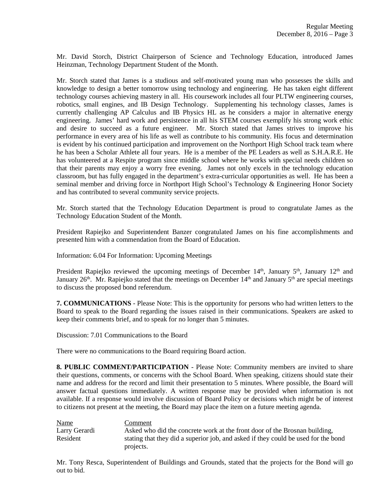Mr. David Storch, District Chairperson of Science and Technology Education, introduced James Heinzman, Technology Department Student of the Month.

Mr. Storch stated that James is a studious and self-motivated young man who possesses the skills and knowledge to design a better tomorrow using technology and engineering. He has taken eight different technology courses achieving mastery in all. His coursework includes all four PLTW engineering courses, robotics, small engines, and IB Design Technology. Supplementing his technology classes, James is currently challenging AP Calculus and IB Physics HL as he considers a major in alternative energy engineering. James' hard work and persistence in all his STEM courses exemplify his strong work ethic and desire to succeed as a future engineer. Mr. Storch stated that James strives to improve his performance in every area of his life as well as contribute to his community. His focus and determination is evident by his continued participation and improvement on the Northport High School track team where he has been a Scholar Athlete all four years. He is a member of the PE Leaders as well as S.H.A.R.E. He has volunteered at a Respite program since middle school where he works with special needs children so that their parents may enjoy a worry free evening. James not only excels in the technology education classroom, but has fully engaged in the department's extra-curricular opportunities as well. He has been a seminal member and driving force in Northport High School's Technology & Engineering Honor Society and has contributed to several community service projects.

Mr. Storch started that the Technology Education Department is proud to congratulate James as the Technology Education Student of the Month.

President Rapiejko and Superintendent Banzer congratulated James on his fine accomplishments and presented him with a commendation from the Board of Education.

Information: 6.04 For Information: Upcoming Meetings

President Rapiejko reviewed the upcoming meetings of December 14<sup>th</sup>, January 5<sup>th</sup>, January 12<sup>th</sup> and January  $26<sup>th</sup>$ . Mr. Rapiejko stated that the meetings on December 14<sup>th</sup> and January  $5<sup>th</sup>$  are special meetings to discuss the proposed bond referendum.

**7. COMMUNICATIONS** - Please Note: This is the opportunity for persons who had written letters to the Board to speak to the Board regarding the issues raised in their communications. Speakers are asked to keep their comments brief, and to speak for no longer than 5 minutes.

Discussion: 7.01 Communications to the Board

There were no communications to the Board requiring Board action.

**8. PUBLIC COMMENT/PARTICIPATION** - Please Note: Community members are invited to share their questions, comments, or concerns with the School Board. When speaking, citizens should state their name and address for the record and limit their presentation to 5 minutes. Where possible, the Board will answer factual questions immediately. A written response may be provided when information is not available. If a response would involve discussion of Board Policy or decisions which might be of interest to citizens not present at the meeting, the Board may place the item on a future meeting agenda.

Name Comment Larry Gerardi Asked who did the concrete work at the front door of the Brosnan building, Resident stating that they did a superior job, and asked if they could be used for the bond projects.

Mr. Tony Resca, Superintendent of Buildings and Grounds, stated that the projects for the Bond will go out to bid.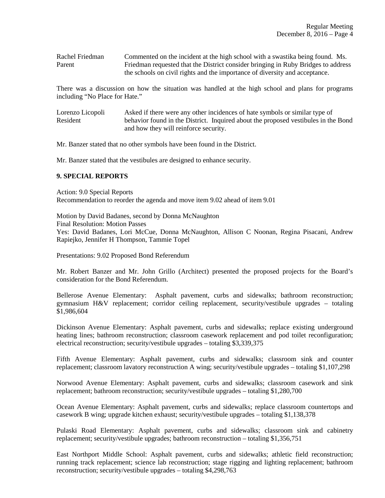| Rachel Friedman | Commented on the incident at the high school with a swastika being found. Ms.     |
|-----------------|-----------------------------------------------------------------------------------|
| Parent          | Friedman requested that the District consider bringing in Ruby Bridges to address |
|                 | the schools on civil rights and the importance of diversity and acceptance.       |

There was a discussion on how the situation was handled at the high school and plans for programs including "No Place for Hate."

| Lorenzo Licopoli | Asked if there were any other incidences of hate symbols or similar type of        |
|------------------|------------------------------------------------------------------------------------|
| Resident         | behavior found in the District. Inquired about the proposed vestibules in the Bond |
|                  | and how they will reinforce security.                                              |

Mr. Banzer stated that no other symbols have been found in the District.

Mr. Banzer stated that the vestibules are designed to enhance security.

#### **9. SPECIAL REPORTS**

Action: 9.0 Special Reports Recommendation to reorder the agenda and move item 9.02 ahead of item 9.01

Motion by David Badanes, second by Donna McNaughton Final Resolution: Motion Passes Yes: David Badanes, Lori McCue, Donna McNaughton, Allison C Noonan, Regina Pisacani, Andrew Rapiejko, Jennifer H Thompson, Tammie Topel

Presentations: 9.02 Proposed Bond Referendum

Mr. Robert Banzer and Mr. John Grillo (Architect) presented the proposed projects for the Board's consideration for the Bond Referendum.

Bellerose Avenue Elementary: Asphalt pavement, curbs and sidewalks; bathroom reconstruction; gymnasium H&V replacement; corridor ceiling replacement, security/vestibule upgrades – totaling \$1,986,604

Dickinson Avenue Elementary: Asphalt pavement, curbs and sidewalks; replace existing underground heating lines; bathroom reconstruction; classroom casework replacement and pod toilet reconfiguration; electrical reconstruction; security/vestibule upgrades – totaling \$3,339,375

Fifth Avenue Elementary: Asphalt pavement, curbs and sidewalks; classroom sink and counter replacement; classroom lavatory reconstruction A wing; security/vestibule upgrades – totaling \$1,107,298

Norwood Avenue Elementary: Asphalt pavement, curbs and sidewalks; classroom casework and sink replacement; bathroom reconstruction; security/vestibule upgrades – totaling \$1,280,700

Ocean Avenue Elementary: Asphalt pavement, curbs and sidewalks; replace classroom countertops and casework B wing; upgrade kitchen exhaust; security/vestibule upgrades – totaling \$1,138,378

Pulaski Road Elementary: Asphalt pavement, curbs and sidewalks; classroom sink and cabinetry replacement; security/vestibule upgrades; bathroom reconstruction – totaling \$1,356,751

East Northport Middle School: Asphalt pavement, curbs and sidewalks; athletic field reconstruction; running track replacement; science lab reconstruction; stage rigging and lighting replacement; bathroom reconstruction; security/vestibule upgrades – totaling \$4,298,763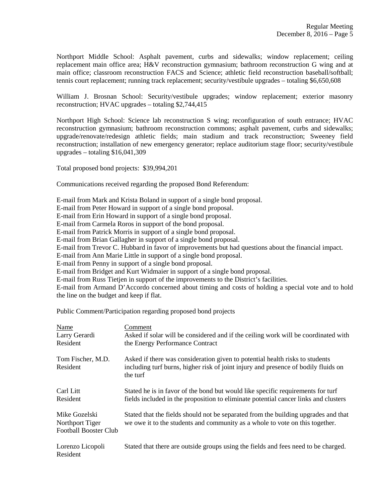Northport Middle School: Asphalt pavement, curbs and sidewalks; window replacement; ceiling replacement main office area; H&V reconstruction gymnasium; bathroom reconstruction G wing and at main office; classroom reconstruction FACS and Science; athletic field reconstruction baseball/softball; tennis court replacement; running track replacement; security/vestibule upgrades – totaling \$6,650,608

William J. Brosnan School: Security/vestibule upgrades; window replacement; exterior masonry reconstruction; HVAC upgrades – totaling \$2,744,415

Northport High School: Science lab reconstruction S wing; reconfiguration of south entrance; HVAC reconstruction gymnasium; bathroom reconstruction commons; asphalt pavement, curbs and sidewalks; upgrade/renovate/redesign athletic fields; main stadium and track reconstruction; Sweeney field reconstruction; installation of new emergency generator; replace auditorium stage floor; security/vestibule upgrades – totaling \$16,041,309

Total proposed bond projects: \$39,994,201

Communications received regarding the proposed Bond Referendum:

E-mail from Mark and Krista Boland in support of a single bond proposal.

E-mail from Peter Howard in support of a single bond proposal.

E-mail from Erin Howard in support of a single bond proposal.

E-mail from Carmela Roros in support of the bond proposal.

E-mail from Patrick Morris in support of a single bond proposal.

E-mail from Brian Gallagher in support of a single bond proposal.

E-mail from Trevor C. Hubbard in favor of improvements but had questions about the financial impact.

E-mail from Ann Marie Little in support of a single bond proposal.

E-mail from Penny in support of a single bond proposal.

E-mail from Bridget and Kurt Widmaier in support of a single bond proposal.

E-mail from Russ Tietjen in support of the improvements to the District's facilities.

E-mail from Armand D'Accordo concerned about timing and costs of holding a special vote and to hold the line on the budget and keep if flat.

Public Comment/Participation regarding proposed bond projects

| Name<br>Larry Gerardi<br>Resident                                | Comment<br>Asked if solar will be considered and if the ceiling work will be coordinated with<br>the Energy Performance Contract                                               |
|------------------------------------------------------------------|--------------------------------------------------------------------------------------------------------------------------------------------------------------------------------|
| Tom Fischer, M.D.<br>Resident                                    | Asked if there was consideration given to potential health risks to students<br>including turf burns, higher risk of joint injury and presence of bodily fluids on<br>the turf |
| Carl Litt<br>Resident                                            | Stated he is in favor of the bond but would like specific requirements for turf<br>fields included in the proposition to eliminate potential cancer links and clusters         |
| Mike Gozelski<br>Northport Tiger<br><b>Football Booster Club</b> | Stated that the fields should not be separated from the building upgrades and that<br>we owe it to the students and community as a whole to vote on this together.             |
| Lorenzo Licopoli<br>Resident                                     | Stated that there are outside groups using the fields and fees need to be charged.                                                                                             |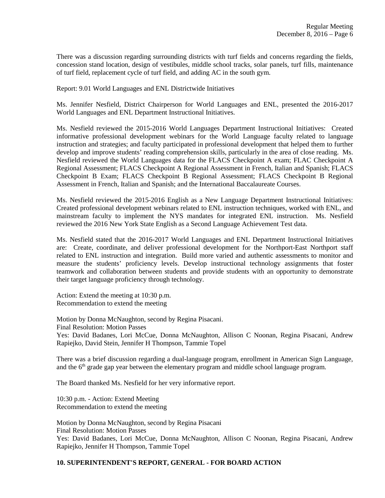There was a discussion regarding surrounding districts with turf fields and concerns regarding the fields, concession stand location, design of vestibules, middle school tracks, solar panels, turf fills, maintenance of turf field, replacement cycle of turf field, and adding AC in the south gym.

Report: 9.01 World Languages and ENL Districtwide Initiatives

Ms. Jennifer Nesfield, District Chairperson for World Languages and ENL, presented the 2016-2017 World Languages and ENL Department Instructional Initiatives.

Ms. Nesfield reviewed the 2015-2016 World Languages Department Instructional Initiatives: Created informative professional development webinars for the World Language faculty related to language instruction and strategies; and faculty participated in professional development that helped them to further develop and improve students' reading comprehension skills, particularly in the area of close reading. Ms. Nesfield reviewed the World Languages data for the FLACS Checkpoint A exam; FLAC Checkpoint A Regional Assessment; FLACS Checkpoint A Regional Assessment in French, Italian and Spanish; FLACS Checkpoint B Exam; FLACS Checkpoint B Regional Assessment; FLACS Checkpoint B Regional Assessment in French, Italian and Spanish; and the International Baccalaureate Courses.

Ms. Nesfield reviewed the 2015-2016 English as a New Language Department Instructional Initiatives: Created professional development webinars related to ENL instruction techniques, worked with ENL, and mainstream faculty to implement the NYS mandates for integrated ENL instruction. Ms. Nesfield reviewed the 2016 New York State English as a Second Language Achievement Test data.

Ms. Nesfield stated that the 2016-2017 World Languages and ENL Department Instructional Initiatives are: Create, coordinate, and deliver professional development for the Northport-East Northport staff related to ENL instruction and integration. Build more varied and authentic assessments to monitor and measure the students' proficiency levels. Develop instructional technology assignments that foster teamwork and collaboration between students and provide students with an opportunity to demonstrate their target language proficiency through technology.

Action: Extend the meeting at 10:30 p.m. Recommendation to extend the meeting

Motion by Donna McNaughton, second by Regina Pisacani. Final Resolution: Motion Passes Yes: David Badanes, Lori McCue, Donna McNaughton, Allison C Noonan, Regina Pisacani, Andrew Rapiejko, David Stein, Jennifer H Thompson, Tammie Topel

There was a brief discussion regarding a dual-language program, enrollment in American Sign Language, and the  $6<sup>th</sup>$  grade gap year between the elementary program and middle school language program.

The Board thanked Ms. Nesfield for her very informative report.

10:30 p.m. - Action: Extend Meeting Recommendation to extend the meeting

Motion by Donna McNaughton, second by Regina Pisacani Final Resolution: Motion Passes Yes: David Badanes, Lori McCue, Donna McNaughton, Allison C Noonan, Regina Pisacani, Andrew Rapiejko, Jennifer H Thompson, Tammie Topel

## **10. SUPERINTENDENT'S REPORT, GENERAL - FOR BOARD ACTION**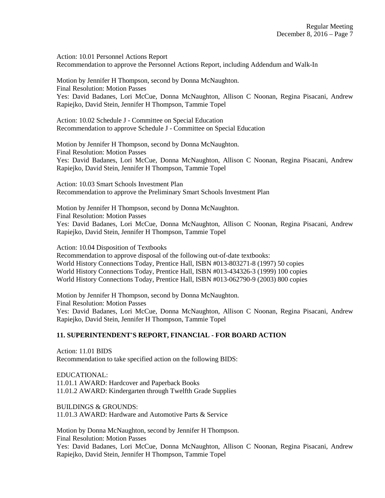Action: 10.01 Personnel Actions Report Recommendation to approve the Personnel Actions Report, including Addendum and Walk-In

Motion by Jennifer H Thompson, second by Donna McNaughton. Final Resolution: Motion Passes Yes: David Badanes, Lori McCue, Donna McNaughton, Allison C Noonan, Regina Pisacani, Andrew Rapiejko, David Stein, Jennifer H Thompson, Tammie Topel

Action: 10.02 Schedule J - Committee on Special Education Recommendation to approve Schedule J - Committee on Special Education

Motion by Jennifer H Thompson, second by Donna McNaughton. Final Resolution: Motion Passes Yes: David Badanes, Lori McCue, Donna McNaughton, Allison C Noonan, Regina Pisacani, Andrew Rapiejko, David Stein, Jennifer H Thompson, Tammie Topel

Action: 10.03 Smart Schools Investment Plan Recommendation to approve the Preliminary Smart Schools Investment Plan

Motion by Jennifer H Thompson, second by Donna McNaughton. Final Resolution: Motion Passes Yes: David Badanes, Lori McCue, Donna McNaughton, Allison C Noonan, Regina Pisacani, Andrew Rapiejko, David Stein, Jennifer H Thompson, Tammie Topel

Action: 10.04 Disposition of Textbooks Recommendation to approve disposal of the following out-of-date textbooks: World History Connections Today, Prentice Hall, ISBN #013-803271-8 (1997) 50 copies World History Connections Today, Prentice Hall, ISBN #013-434326-3 (1999) 100 copies World History Connections Today, Prentice Hall, ISBN #013-062790-9 (2003) 800 copies

Motion by Jennifer H Thompson, second by Donna McNaughton. Final Resolution: Motion Passes Yes: David Badanes, Lori McCue, Donna McNaughton, Allison C Noonan, Regina Pisacani, Andrew Rapiejko, David Stein, Jennifer H Thompson, Tammie Topel

## **11. SUPERINTENDENT'S REPORT, FINANCIAL - FOR BOARD ACTION**

Action: 11.01 BIDS Recommendation to take specified action on the following BIDS:

EDUCATIONAL: 11.01.1 AWARD: Hardcover and Paperback Books 11.01.2 AWARD: Kindergarten through Twelfth Grade Supplies

BUILDINGS & GROUNDS: 11.01.3 AWARD: Hardware and Automotive Parts & Service

Motion by Donna McNaughton, second by Jennifer H Thompson. Final Resolution: Motion Passes

Yes: David Badanes, Lori McCue, Donna McNaughton, Allison C Noonan, Regina Pisacani, Andrew Rapiejko, David Stein, Jennifer H Thompson, Tammie Topel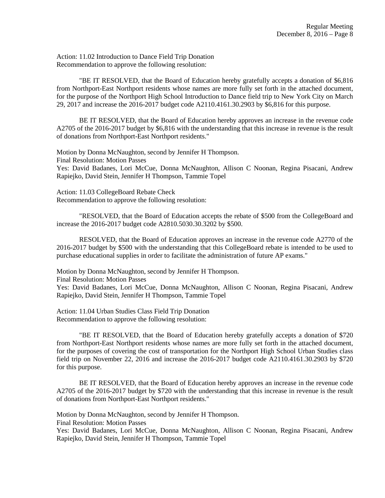Action: 11.02 Introduction to Dance Field Trip Donation Recommendation to approve the following resolution:

"BE IT RESOLVED, that the Board of Education hereby gratefully accepts a donation of \$6,816 from Northport-East Northport residents whose names are more fully set forth in the attached document, for the purpose of the Northport High School Introduction to Dance field trip to New York City on March 29, 2017 and increase the 2016-2017 budget code A2110.4161.30.2903 by \$6,816 for this purpose.

BE IT RESOLVED, that the Board of Education hereby approves an increase in the revenue code A2705 of the 2016-2017 budget by \$6,816 with the understanding that this increase in revenue is the result of donations from Northport-East Northport residents."

Motion by Donna McNaughton, second by Jennifer H Thompson. Final Resolution: Motion Passes

Yes: David Badanes, Lori McCue, Donna McNaughton, Allison C Noonan, Regina Pisacani, Andrew Rapiejko, David Stein, Jennifer H Thompson, Tammie Topel

Action: 11.03 CollegeBoard Rebate Check Recommendation to approve the following resolution:

"RESOLVED, that the Board of Education accepts the rebate of \$500 from the CollegeBoard and increase the 2016-2017 budget code A2810.5030.30.3202 by \$500.

RESOLVED, that the Board of Education approves an increase in the revenue code A2770 of the 2016-2017 budget by \$500 with the understanding that this CollegeBoard rebate is intended to be used to purchase educational supplies in order to facilitate the administration of future AP exams."

Motion by Donna McNaughton, second by Jennifer H Thompson.

Final Resolution: Motion Passes

Yes: David Badanes, Lori McCue, Donna McNaughton, Allison C Noonan, Regina Pisacani, Andrew Rapiejko, David Stein, Jennifer H Thompson, Tammie Topel

Action: 11.04 Urban Studies Class Field Trip Donation Recommendation to approve the following resolution:

"BE IT RESOLVED, that the Board of Education hereby gratefully accepts a donation of \$720 from Northport-East Northport residents whose names are more fully set forth in the attached document, for the purposes of covering the cost of transportation for the Northport High School Urban Studies class field trip on November 22, 2016 and increase the 2016-2017 budget code A2110.4161.30.2903 by \$720 for this purpose.

BE IT RESOLVED, that the Board of Education hereby approves an increase in the revenue code A2705 of the 2016-2017 budget by \$720 with the understanding that this increase in revenue is the result of donations from Northport-East Northport residents."

Motion by Donna McNaughton, second by Jennifer H Thompson.

Final Resolution: Motion Passes

Yes: David Badanes, Lori McCue, Donna McNaughton, Allison C Noonan, Regina Pisacani, Andrew Rapiejko, David Stein, Jennifer H Thompson, Tammie Topel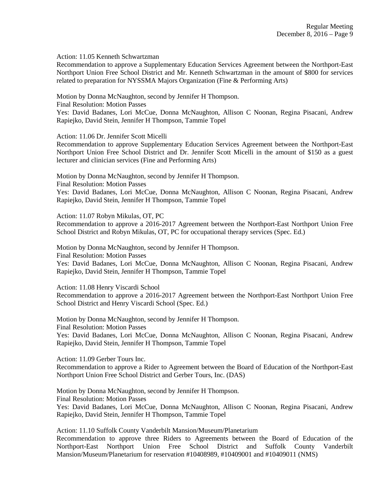Action: 11.05 Kenneth Schwartzman

Recommendation to approve a Supplementary Education Services Agreement between the Northport-East Northport Union Free School District and Mr. Kenneth Schwartzman in the amount of \$800 for services related to preparation for NYSSMA Majors Organization (Fine & Performing Arts)

Motion by Donna McNaughton, second by Jennifer H Thompson.

Final Resolution: Motion Passes

Yes: David Badanes, Lori McCue, Donna McNaughton, Allison C Noonan, Regina Pisacani, Andrew Rapiejko, David Stein, Jennifer H Thompson, Tammie Topel

Action: 11.06 Dr. Jennifer Scott Micelli

Recommendation to approve Supplementary Education Services Agreement between the Northport-East Northport Union Free School District and Dr. Jennifer Scott Micelli in the amount of \$150 as a guest lecturer and clinician services (Fine and Performing Arts)

Motion by Donna McNaughton, second by Jennifer H Thompson. Final Resolution: Motion Passes

Yes: David Badanes, Lori McCue, Donna McNaughton, Allison C Noonan, Regina Pisacani, Andrew Rapiejko, David Stein, Jennifer H Thompson, Tammie Topel

Action: 11.07 Robyn Mikulas, OT, PC

Recommendation to approve a 2016-2017 Agreement between the Northport-East Northport Union Free School District and Robyn Mikulas, OT, PC for occupational therapy services (Spec. Ed.)

Motion by Donna McNaughton, second by Jennifer H Thompson. Final Resolution: Motion Passes

Yes: David Badanes, Lori McCue, Donna McNaughton, Allison C Noonan, Regina Pisacani, Andrew Rapiejko, David Stein, Jennifer H Thompson, Tammie Topel

Action: 11.08 Henry Viscardi School

Recommendation to approve a 2016-2017 Agreement between the Northport-East Northport Union Free School District and Henry Viscardi School (Spec. Ed.)

Motion by Donna McNaughton, second by Jennifer H Thompson. Final Resolution: Motion Passes Yes: David Badanes, Lori McCue, Donna McNaughton, Allison C Noonan, Regina Pisacani, Andrew Rapiejko, David Stein, Jennifer H Thompson, Tammie Topel

Action: 11.09 Gerber Tours Inc.

Recommendation to approve a Rider to Agreement between the Board of Education of the Northport-East Northport Union Free School District and Gerber Tours, Inc. (DAS)

Motion by Donna McNaughton, second by Jennifer H Thompson. Final Resolution: Motion Passes Yes: David Badanes, Lori McCue, Donna McNaughton, Allison C Noonan, Regina Pisacani, Andrew Rapiejko, David Stein, Jennifer H Thompson, Tammie Topel

Action: 11.10 Suffolk County Vanderbilt Mansion/Museum/Planetarium

Recommendation to approve three Riders to Agreements between the Board of Education of the Northport-East Northport Union Free School District and Suffolk County Vanderbilt Mansion/Museum/Planetarium for reservation #10408989, #10409001 and #10409011 (NMS)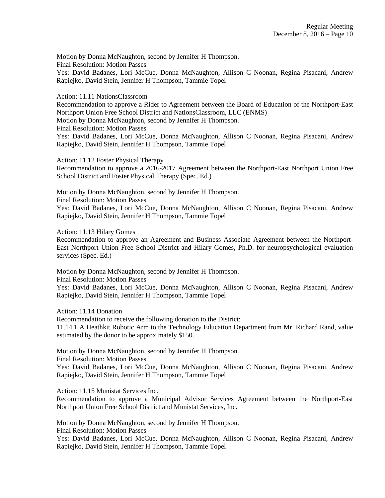Motion by Donna McNaughton, second by Jennifer H Thompson. Final Resolution: Motion Passes Yes: David Badanes, Lori McCue, Donna McNaughton, Allison C Noonan, Regina Pisacani, Andrew Rapiejko, David Stein, Jennifer H Thompson, Tammie Topel

Action: 11.11 NationsClassroom

Recommendation to approve a Rider to Agreement between the Board of Education of the Northport-East Northport Union Free School District and NationsClassroom, LLC (ENMS)

Motion by Donna McNaughton, second by Jennifer H Thompson.

Final Resolution: Motion Passes

Yes: David Badanes, Lori McCue, Donna McNaughton, Allison C Noonan, Regina Pisacani, Andrew Rapiejko, David Stein, Jennifer H Thompson, Tammie Topel

Action: 11.12 Foster Physical Therapy Recommendation to approve a 2016-2017 Agreement between the Northport-East Northport Union Free School District and Foster Physical Therapy (Spec. Ed.)

Motion by Donna McNaughton, second by Jennifer H Thompson. Final Resolution: Motion Passes Yes: David Badanes, Lori McCue, Donna McNaughton, Allison C Noonan, Regina Pisacani, Andrew Rapiejko, David Stein, Jennifer H Thompson, Tammie Topel

Action: 11.13 Hilary Gomes

Recommendation to approve an Agreement and Business Associate Agreement between the Northport-East Northport Union Free School District and Hilary Gomes, Ph.D. for neuropsychological evaluation services (Spec. Ed.)

Motion by Donna McNaughton, second by Jennifer H Thompson. Final Resolution: Motion Passes

Yes: David Badanes, Lori McCue, Donna McNaughton, Allison C Noonan, Regina Pisacani, Andrew Rapiejko, David Stein, Jennifer H Thompson, Tammie Topel

Action: 11.14 Donation

Recommendation to receive the following donation to the District:

11.14.1 A Heathkit Robotic Arm to the Technology Education Department from Mr. Richard Rand, value estimated by the donor to be approximately \$150.

Motion by Donna McNaughton, second by Jennifer H Thompson. Final Resolution: Motion Passes

Yes: David Badanes, Lori McCue, Donna McNaughton, Allison C Noonan, Regina Pisacani, Andrew Rapiejko, David Stein, Jennifer H Thompson, Tammie Topel

Action: 11.15 Munistat Services Inc.

Recommendation to approve a Municipal Advisor Services Agreement between the Northport-East Northport Union Free School District and Munistat Services, Inc.

Motion by Donna McNaughton, second by Jennifer H Thompson.

Final Resolution: Motion Passes

Yes: David Badanes, Lori McCue, Donna McNaughton, Allison C Noonan, Regina Pisacani, Andrew Rapiejko, David Stein, Jennifer H Thompson, Tammie Topel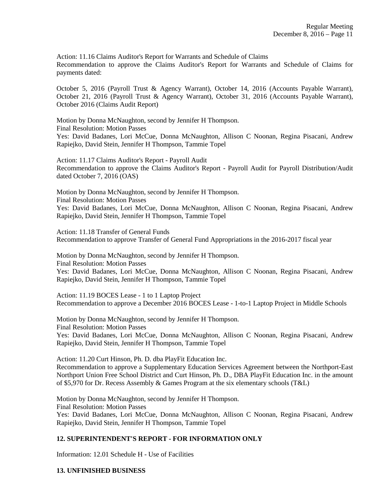Action: 11.16 Claims Auditor's Report for Warrants and Schedule of Claims Recommendation to approve the Claims Auditor's Report for Warrants and Schedule of Claims for payments dated:

October 5, 2016 (Payroll Trust & Agency Warrant), October 14, 2016 (Accounts Payable Warrant), October 21, 2016 (Payroll Trust & Agency Warrant), October 31, 2016 (Accounts Payable Warrant), October 2016 (Claims Audit Report)

Motion by Donna McNaughton, second by Jennifer H Thompson. Final Resolution: Motion Passes Yes: David Badanes, Lori McCue, Donna McNaughton, Allison C Noonan, Regina Pisacani, Andrew Rapiejko, David Stein, Jennifer H Thompson, Tammie Topel

Action: 11.17 Claims Auditor's Report - Payroll Audit Recommendation to approve the Claims Auditor's Report - Payroll Audit for Payroll Distribution/Audit dated October 7, 2016 (OAS)

Motion by Donna McNaughton, second by Jennifer H Thompson. Final Resolution: Motion Passes Yes: David Badanes, Lori McCue, Donna McNaughton, Allison C Noonan, Regina Pisacani, Andrew Rapiejko, David Stein, Jennifer H Thompson, Tammie Topel

Action: 11.18 Transfer of General Funds Recommendation to approve Transfer of General Fund Appropriations in the 2016-2017 fiscal year

Motion by Donna McNaughton, second by Jennifer H Thompson. Final Resolution: Motion Passes Yes: David Badanes, Lori McCue, Donna McNaughton, Allison C Noonan, Regina Pisacani, Andrew Rapiejko, David Stein, Jennifer H Thompson, Tammie Topel

Action: 11.19 BOCES Lease - 1 to 1 Laptop Project Recommendation to approve a December 2016 BOCES Lease - 1-to-1 Laptop Project in Middle Schools

Motion by Donna McNaughton, second by Jennifer H Thompson. Final Resolution: Motion Passes Yes: David Badanes, Lori McCue, Donna McNaughton, Allison C Noonan, Regina Pisacani, Andrew Rapiejko, David Stein, Jennifer H Thompson, Tammie Topel

Action: 11.20 Curt Hinson, Ph. D. dba PlayFit Education Inc. Recommendation to approve a Supplementary Education Services Agreement between the Northport-East Northport Union Free School District and Curt Hinson, Ph. D., DBA PlayFit Education Inc. in the amount of \$5,970 for Dr. Recess Assembly & Games Program at the six elementary schools (T&L)

Motion by Donna McNaughton, second by Jennifer H Thompson. Final Resolution: Motion Passes Yes: David Badanes, Lori McCue, Donna McNaughton, Allison C Noonan, Regina Pisacani, Andrew Rapiejko, David Stein, Jennifer H Thompson, Tammie Topel

## **12. SUPERINTENDENT'S REPORT - FOR INFORMATION ONLY**

Information: 12.01 Schedule H - Use of Facilities

# **13. UNFINISHED BUSINESS**